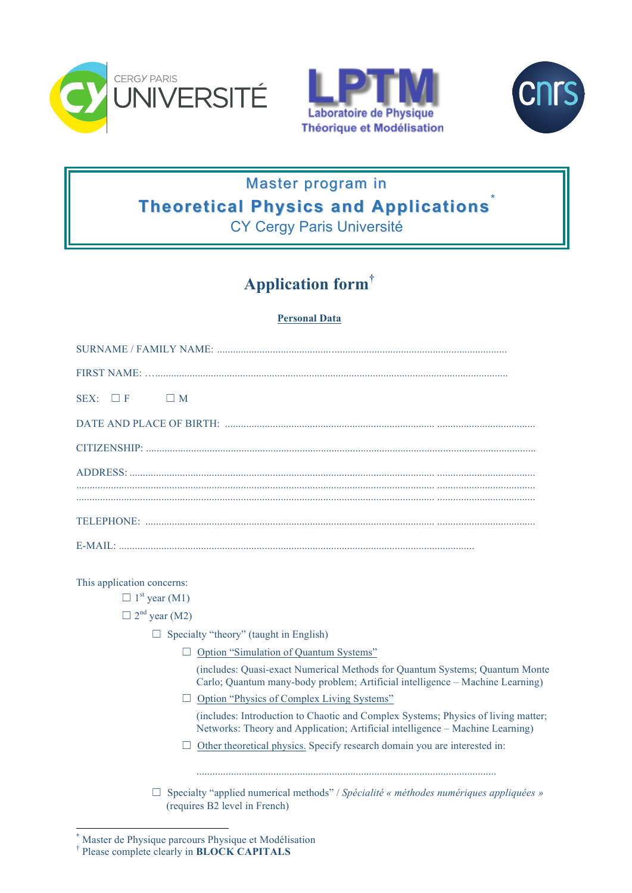





# Master program in **Theoretical Physics and Applications**

CY Cergy Paris Université

# **Application form†**

## **Personal Data**

| SEX: $\Box$ F $\Box$ M |
|------------------------|
|                        |
|                        |
|                        |
|                        |
|                        |
|                        |

This application concerns:

 $\Box$  1<sup>st</sup> year (M1)

 $\Box$  2<sup>nd</sup> year (M2)

- $\Box$  Specialty "theory" (taught in English)
	- □ Option "Simulation of Quantum Systems"

(includes: Quasi-exact Numerical Methods for Quantum Systems; Quantum Monte Carlo; Quantum many-body problem; Artificial intelligence – Machine Learning)

☐ Option "Physics of Complex Living Systems"

(includes: Introduction to Chaotic and Complex Systems; Physics of living matter; Networks: Theory and Application; Artificial intelligence – Machine Learning)

 $\Box$  Other theoretical physics. Specify research domain you are interested in:

.................................................................................................................

☐ Specialty "applied numerical methods" / *Spécialité « méthodes numériques appliquées »* (requires B2 level in French)

Master de Physique parcours Physique et Modélisation

<sup>†</sup> Please complete clearly in **BLOCK CAPITALS**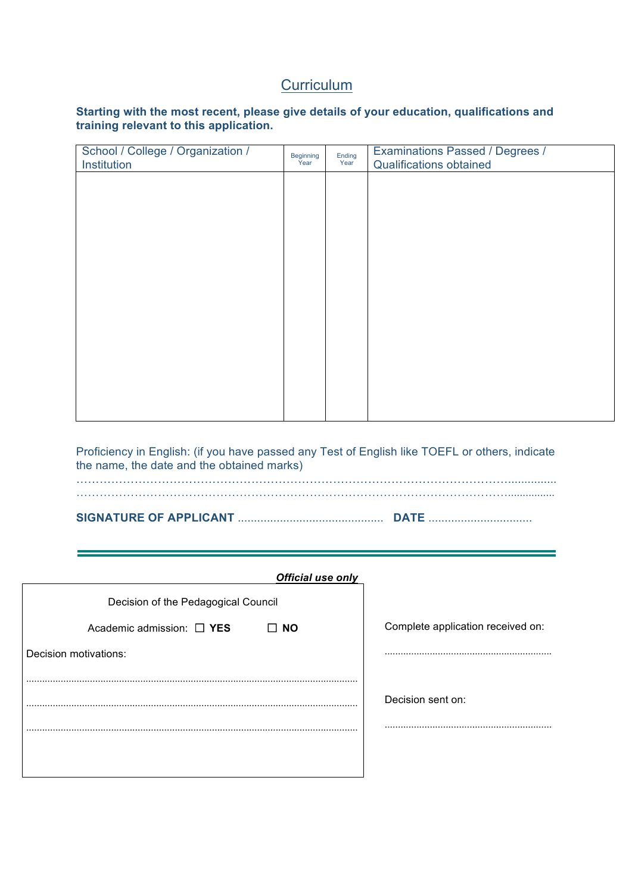# **Curriculum**

#### **Starting with the most recent, please give details of your education, qualifications and training relevant to this application.**

| School / College / Organization /<br>Institution | Beginning<br>Year | Ending<br>Year | Examinations Passed / Degrees /<br><b>Qualifications obtained</b> |
|--------------------------------------------------|-------------------|----------------|-------------------------------------------------------------------|
|                                                  |                   |                |                                                                   |
|                                                  |                   |                |                                                                   |
|                                                  |                   |                |                                                                   |
|                                                  |                   |                |                                                                   |
|                                                  |                   |                |                                                                   |
|                                                  |                   |                |                                                                   |
|                                                  |                   |                |                                                                   |
|                                                  |                   |                |                                                                   |
|                                                  |                   |                |                                                                   |
|                                                  |                   |                |                                                                   |

Proficiency in English: (if you have passed any Test of English like TOEFL or others, indicate the name, the date and the obtained marks)

a,

| Official use only                           |                                   |
|---------------------------------------------|-----------------------------------|
| Decision of the Pedagogical Council         |                                   |
| Academic admission: $\Box$ YES<br>$\Box$ NO | Complete application received on: |
| Decision motivations:                       |                                   |
|                                             |                                   |
|                                             | Decision sent on:                 |
| .                                           |                                   |
|                                             |                                   |
|                                             |                                   |